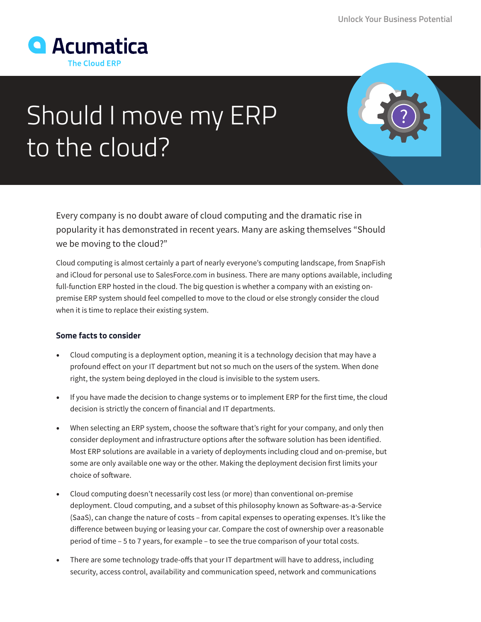

## Should I move my ERP to the cloud?

Every company is no doubt aware of cloud computing and the dramatic rise in popularity it has demonstrated in recent years. Many are asking themselves "Should we be moving to the cloud?"

Cloud computing is almost certainly a part of nearly everyone's computing landscape, from SnapFish and iCloud for personal use to SalesForce.com in business. There are many options available, including full-function ERP hosted in the cloud. The big question is whether a company with an existing onpremise ERP system should feel compelled to move to the cloud or else strongly consider the cloud when it is time to replace their existing system.

## **Some facts to consider**

- Cloud computing is a deployment option, meaning it is a technology decision that may have a profound effect on your IT department but not so much on the users of the system. When done right, the system being deployed in the cloud is invisible to the system users.
- If you have made the decision to change systems or to implement ERP for the first time, the cloud decision is strictly the concern of financial and IT departments.
- When selecting an ERP system, choose the software that's right for your company, and only then consider deployment and infrastructure options after the software solution has been identified. Most ERP solutions are available in a variety of deployments including cloud and on-premise, but some are only available one way or the other. Making the deployment decision first limits your choice of software.
- Cloud computing doesn't necessarily cost less (or more) than conventional on-premise deployment. Cloud computing, and a subset of this philosophy known as Software-as-a-Service (SaaS), can change the nature of costs – from capital expenses to operating expenses. It's like the difference between buying or leasing your car. Compare the cost of ownership over a reasonable period of time – 5 to 7 years, for example – to see the true comparison of your total costs.
- There are some technology trade-offs that your IT department will have to address, including security, access control, availability and communication speed, network and communications